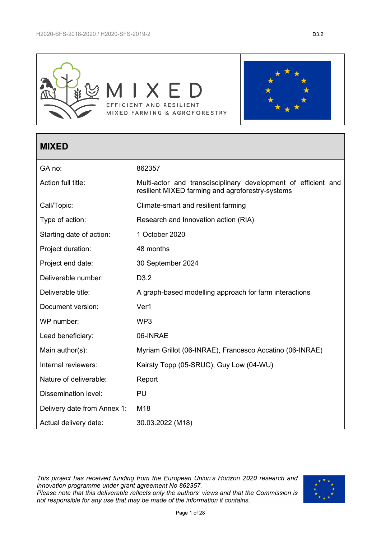

# **MIXED**

| GA no:                      | 862357                                                                                                             |
|-----------------------------|--------------------------------------------------------------------------------------------------------------------|
| Action full title:          | Multi-actor and transdisciplinary development of efficient and<br>resilient MIXED farming and agroforestry-systems |
| Call/Topic:                 | Climate-smart and resilient farming                                                                                |
| Type of action:             | Research and Innovation action (RIA)                                                                               |
| Starting date of action:    | 1 October 2020                                                                                                     |
| Project duration:           | 48 months                                                                                                          |
| Project end date:           | 30 September 2024                                                                                                  |
| Deliverable number:         | D <sub>3.2</sub>                                                                                                   |
| Deliverable title:          | A graph-based modelling approach for farm interactions                                                             |
| Document version:           | Ver1                                                                                                               |
| WP number:                  | WP3                                                                                                                |
| Lead beneficiary:           | 06-INRAE                                                                                                           |
| Main author(s):             | Myriam Grillot (06-INRAE), Francesco Accatino (06-INRAE)                                                           |
| Internal reviewers:         | Kairsty Topp (05-SRUC), Guy Low (04-WU)                                                                            |
| Nature of deliverable:      | Report                                                                                                             |
| <b>Dissemination level:</b> | <b>PU</b>                                                                                                          |
| Delivery date from Annex 1: | M18                                                                                                                |
| Actual delivery date:       | 30.03.2022 (M18)                                                                                                   |

This project has received funding from the European Union's Horizon 2020 research and innovation programme under grant agreement No 862357.<br>Please note that this deliverable reflects only the authors' views and that the Commission is not responsible for any use that may be made of the information it contains.

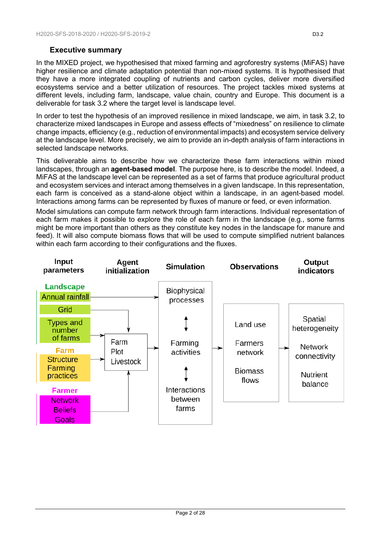# **Executive summary**

In the MIXED project, we hypothesised that mixed farming and agroforestry systems (MiFAS) have higher resilience and climate adaptation potential than non-mixed systems. It is hypothesised that they have a more integrated coupling of nutrients and carbon cycles, deliver more diversified ecosystems service and a better utilization of resources. The project tackles mixed systems at different levels, including farm, landscape, value chain, country and Europe. This document is a deliverable for task 3.2 where the target level is landscape level.

In order to test the hypothesis of an improved resilience in mixed landscape, we aim, in task 3.2, to characterize mixed landscapes in Europe and assess effects of "mixedness" on resilience to climate change impacts, efficiency (e.g., reduction of environmental impacts) and ecosystem service delivery at the landscape level. More precisely, we aim to provide an in-depth analysis of farm interactions in selected landscape networks.

This deliverable aims to describe how we characterize these farm interactions within mixed landscapes, through an **agent-based model**. The purpose here, is to describe the model. Indeed, a MiFAS at the landscape level can be represented as a set of farms that produce agricultural product and ecosystem services and interact among themselves in a given landscape. In this representation, each farm is conceived as a stand-alone object within a landscape, in an agent-based model. Interactions among farms can be represented by fluxes of manure or feed, or even information.

Model simulations can compute farm network through farm interactions. Individual representation of each farm makes it possible to explore the role of each farm in the landscape (e.g., some farms might be more important than others as they constitute key nodes in the landscape for manure and feed). It will also compute biomass flows that will be used to compute simplified nutrient balances within each farm according to their configurations and the fluxes.

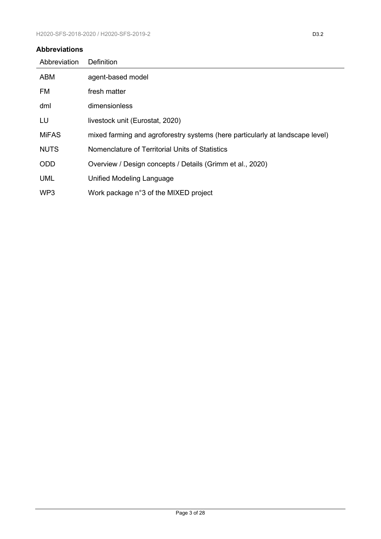#### **Abbreviations**

| Abbreviation    | <b>Definition</b>                                                             |
|-----------------|-------------------------------------------------------------------------------|
| <b>ABM</b>      | agent-based model                                                             |
| <b>FM</b>       | fresh matter                                                                  |
| dml             | dimensionless                                                                 |
| LU              | livestock unit (Eurostat, 2020)                                               |
| <b>MiFAS</b>    | mixed farming and agroforestry systems (here particularly at landscape level) |
| <b>NUTS</b>     | Nomenclature of Territorial Units of Statistics                               |
| <b>ODD</b>      | Overview / Design concepts / Details (Grimm et al., 2020)                     |
| <b>UML</b>      | Unified Modeling Language                                                     |
| WP <sub>3</sub> | Work package n°3 of the MIXED project                                         |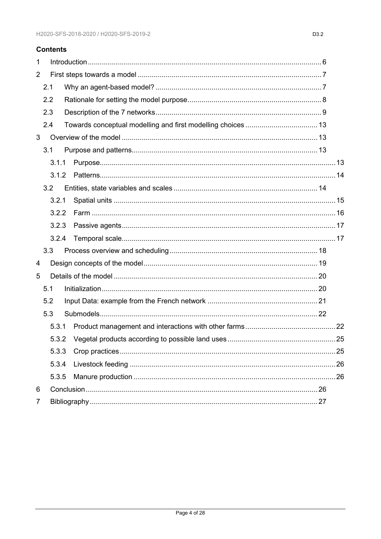#### **Contents**

| 1              |       |  |  |
|----------------|-------|--|--|
| $\overline{2}$ |       |  |  |
|                | 2.1   |  |  |
|                | 2.2   |  |  |
|                | 2.3   |  |  |
|                | 2.4   |  |  |
| 3              |       |  |  |
|                | 3.1   |  |  |
|                | 3.1.1 |  |  |
|                | 3.1.2 |  |  |
|                | 3.2   |  |  |
|                | 3.2.1 |  |  |
|                | 3.2.2 |  |  |
|                | 3.2.3 |  |  |
|                | 3.2.4 |  |  |
|                | 3.3   |  |  |
| 4              |       |  |  |
| 5              |       |  |  |
|                | 5.1   |  |  |
|                | 5.2   |  |  |
|                | 5.3   |  |  |
|                | 5.3.1 |  |  |
|                | 5.3.2 |  |  |
|                | 5.3.3 |  |  |
|                | 5.3.4 |  |  |
|                | 5.3.5 |  |  |
| 6              |       |  |  |
| $\overline{7}$ |       |  |  |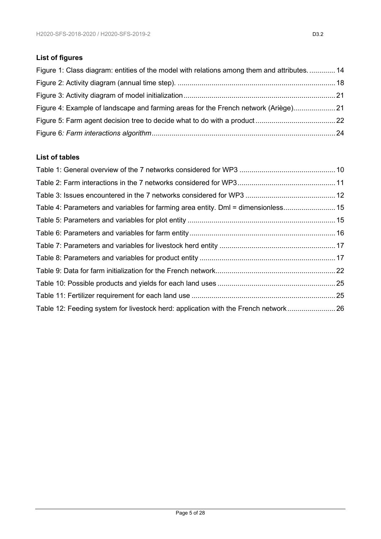# **List of figures**

| Figure 1: Class diagram: entities of the model with relations among them and attributes 14 |  |
|--------------------------------------------------------------------------------------------|--|
|                                                                                            |  |
|                                                                                            |  |
| Figure 4: Example of landscape and farming areas for the French network (Ariège)           |  |
|                                                                                            |  |
|                                                                                            |  |

### **List of tables**

| Table 4: Parameters and variables for farming area entity. Dml = dimensionless 15  |  |
|------------------------------------------------------------------------------------|--|
|                                                                                    |  |
|                                                                                    |  |
|                                                                                    |  |
|                                                                                    |  |
|                                                                                    |  |
|                                                                                    |  |
|                                                                                    |  |
| Table 12: Feeding system for livestock herd: application with the French network26 |  |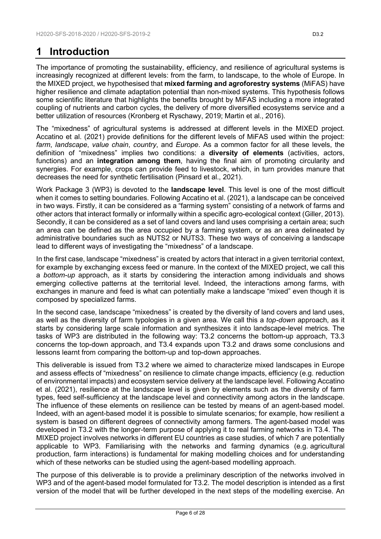# <span id="page-5-0"></span>**1 Introduction**

The importance of promoting the sustainability, efficiency, and resilience of agricultural systems is increasingly recognized at different levels: from the farm, to landscape, to the whole of Europe. In the MIXED project, we hypothesised that **mixed farming and agroforestry systems** (MiFAS) have higher resilience and climate adaptation potential than non-mixed systems. This hypothesis follows some scientific literature that highlights the benefits brought by MiFAS including a more integrated coupling of nutrients and carbon cycles, the delivery of more diversified ecosystems service and a better utilization of resources [\(Kronberg et Ryschawy, 2019;](#page-26-3) [Martin et al., 2016\)](#page-27-0).

The "mixedness" of agricultural systems is addressed at different levels in the MIXED project. Accatino et al. [\(2021\)](#page-26-4) provide definitions for the different levels of MiFAS used within the project: *farm*, *landscape*, *value chain*, *country*, and *Europe*. As a common factor for all these levels, the definition of "mixedness" implies two conditions: a **diversity of elements** (activities, actors, functions) and an **integration among them**, having the final aim of promoting circularity and synergies. For example, crops can provide feed to livestock, which, in turn provides manure that decreases the need for synthetic fertilisation [\(Pinsard et al., 2021\)](#page-27-1).

Work Package 3 (WP3) is devoted to the **landscape level**. This level is one of the most difficult when it comes to setting boundaries. Following Accatino et al. [\(2021\)](#page-26-4), a landscape can be conceived in two ways. Firstly, it can be considered as a "farming system" consisting of a network of farms and other actors that interact formally or informally within a specific agro-ecological context [\(Giller, 2013\)](#page-26-5). Secondly, it can be considered as a set of land covers and land uses comprising a certain area; such an area can be defined as the area occupied by a farming system, or as an area delineated by administrative boundaries such as NUTS2 or NUTS3. These two ways of conceiving a landscape lead to different ways of investigating the "mixedness" of a landscape.

In the first case, landscape "mixedness" is created by actors that interact in a given territorial context, for example by exchanging excess feed or manure. In the context of the MIXED project, we call this a *bottom-up* approach, as it starts by considering the interaction among individuals and shows emerging collective patterns at the territorial level. Indeed, the interactions among farms, with exchanges in manure and feed is what can potentially make a landscape "mixed" even though it is composed by specialized farms.

In the second case, landscape "mixedness" is created by the diversity of land covers and land uses, as well as the diversity of farm typologies in a given area. We call this a *top-down* approach, as it starts by considering large scale information and synthesizes it into landscape-level metrics. The tasks of WP3 are distributed in the following way: T3.2 concerns the bottom-up approach, T3.3 concerns the top-down approach, and T3.4 expands upon T3.2 and draws some conclusions and lessons learnt from comparing the bottom-up and top-down approaches.

This deliverable is issued from T3.2 where we aimed to characterize mixed landscapes in Europe and assess effects of "mixedness" on resilience to climate change impacts, efficiency (e.g. reduction of environmental impacts) and ecosystem service delivery at the landscape level. Following Accatino et al. [\(2021\)](#page-26-4), resilience at the landscape level is given by elements such as the diversity of farm types, feed self-sufficiency at the landscape level and connectivity among actors in the landscape. The influence of these elements on resilience can be tested by means of an agent-based model. Indeed, with an agent-based model it is possible to simulate scenarios; for example, how resilient a system is based on different degrees of connectivity among farmers. The agent-based model was developed in T3.2 with the longer-term purpose of applying it to real farming networks in T3.4. The MIXED project involves networks in different EU countries as case studies, of which 7 are potentially applicable to WP3. Familiarising with the networks and farming dynamics (e.g. agricultural production, farm interactions) is fundamental for making modelling choices and for understanding which of these networks can be studied using the agent-based modelling approach.

The purpose of this deliverable is to provide a preliminary description of the networks involved in WP3 and of the agent-based model formulated for T3.2. The model description is intended as a first version of the model that will be further developed in the next steps of the modelling exercise. An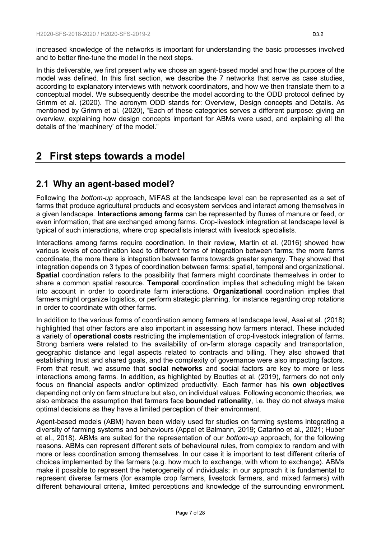increased knowledge of the networks is important for understanding the basic processes involved and to better fine-tune the model in the next steps.

In this deliverable, we first present why we chose an agent-based model and how the purpose of the model was defined. In this first section, we describe the 7 networks that serve as case studies, according to explanatory interviews with network coordinators, and how we then translate them to a conceptual model. We subsequently describe the model according to the ODD protocol defined by Grimm et al. [\(2020\)](#page-26-1). The acronym ODD stands for: Overview, Design concepts and Details. As mentioned by Grimm et al. [\(2020\)](#page-26-1), "Each of these categories serves a different purpose: giving an overview, explaining how design concepts important for ABMs were used, and explaining all the details of the 'machinery' of the model."

# <span id="page-6-0"></span>**2 First steps towards a model**

# <span id="page-6-1"></span>**2.1 Why an agent-based model?**

Following the *bottom-up* approach, MiFAS at the landscape level can be represented as a set of farms that produce agricultural products and ecosystem services and interact among themselves in a given landscape. **Interactions among farms** can be represented by fluxes of manure or feed, or even information, that are exchanged among farms. Crop-livestock integration at landscape level is typical of such interactions, where crop specialists interact with livestock specialists.

Interactions among farms require coordination. In their review, Martin et al. [\(2016\)](#page-27-0) showed how various levels of coordination lead to different forms of integration between farms; the more farms coordinate, the more there is integration between farms towards greater synergy. They showed that integration depends on 3 types of coordination between farms: spatial, temporal and organizational. **Spatial** coordination refers to the possibility that farmers might coordinate themselves in order to share a common spatial resource. **Temporal** coordination implies that scheduling might be taken into account in order to coordinate farm interactions. **Organizational** coordination implies that farmers might organize logistics, or perform strategic planning, for instance regarding crop rotations in order to coordinate with other farms.

In addition to the various forms of coordination among farmers at landscape level, Asai et al. [\(2018\)](#page-26-6) highlighted that other factors are also important in assessing how farmers interact. These included a variety of **operational costs** restricting the implementation of crop-livestock integration of farms. Strong barriers were related to the availability of on-farm storage capacity and transportation, geographic distance and legal aspects related to contracts and billing. They also showed that establishing trust and shared goals, and the complexity of governance were also impacting factors. From that result, we assume that **social networks** and social factors are key to more or less interactions among farms. In addition, as highlighted by Bouttes et al. [\(2019\)](#page-26-7), farmers do not only focus on financial aspects and/or optimized productivity. Each farmer has his **own objectives** depending not only on farm structure but also, on individual values. Following economic theories, we also embrace the assumption that farmers face **bounded rationality**, i.e. they do not always make optimal decisions as they have a limited perception of their environment.

Agent-based models (ABM) haven been widely used for studies on farming systems integrating a diversity of farming systems and behaviours [\(Appel et Balmann, 2019;](#page-26-8) [Catarino et al., 2021;](#page-26-9) [Huber](#page-26-10)  [et al., 2018\)](#page-26-10). ABMs are suited for the representation of our *bottom-up* approach, for the following reasons. ABMs can represent different sets of behavioural rules, from complex to random and with more or less coordination among themselves. In our case it is important to test different criteria of choices implemented by the farmers (e.g. how much to exchange, with whom to exchange). ABMs make it possible to represent the heterogeneity of individuals; in our approach it is fundamental to represent diverse farmers (for example crop farmers, livestock farmers, and mixed farmers) with different behavioural criteria, limited perceptions and knowledge of the surrounding environment.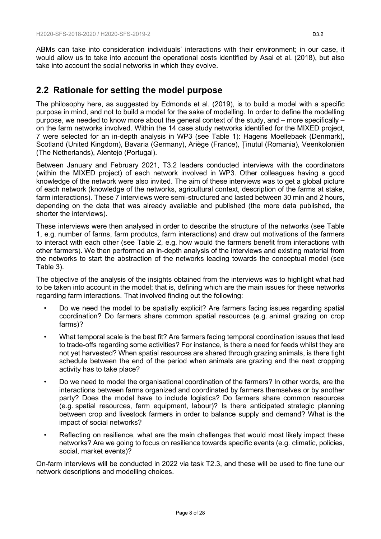ABMs can take into consideration individuals' interactions with their environment; in our case, it would allow us to take into account the operational costs identified by Asai et al. [\(2018\)](#page-26-6), but also take into account the social networks in which they evolve.

# <span id="page-7-0"></span>**2.2 Rationale for setting the model purpose**

The philosophy here, as suggested by Edmonds et al. [\(2019\)](#page-26-11), is to build a model with a specific purpose in mind, and not to build a model for the sake of modelling. In order to define the modelling purpose, we needed to know more about the general context of the study, and – more specifically – on the farm networks involved. Within the 14 case study networks identified for the MIXED project, 7 were selected for an in-depth analysis in WP3 (see Table 1): Hagens Moellebaek (Denmark), Scotland (United Kingdom), Bavaria (Germany), Ariège (France), Ținutul (Romania), Veenkoloniën (The Netherlands), Alentejo (Portugal).

Between January and February 2021, T3.2 leaders conducted interviews with the coordinators (within the MIXED project) of each network involved in WP3. Other colleagues having a good knowledge of the network were also invited. The aim of these interviews was to get a global picture of each network (knowledge of the networks, agricultural context, description of the farms at stake, farm interactions). These 7 interviews were semi-structured and lasted between 30 min and 2 hours, depending on the data that was already available and published (the more data published, the shorter the interviews).

These interviews were then analysed in order to describe the structure of the networks (see Table 1, e.g. number of farms, farm produtcs, farm interactions) and draw out motivations of the farmers to interact with each other (see Table 2, e.g. how would the farmers benefit from interactions with other farmers). We then performed an in-depth analysis of the interviews and existing material from the networks to start the abstraction of the networks leading towards the conceptual model (see Table 3).

The objective of the analysis of the insights obtained from the interviews was to highlight what had to be taken into account in the model; that is, defining which are the main issues for these networks regarding farm interactions. That involved finding out the following:

- Do we need the model to be spatially explicit? Are farmers facing issues regarding spatial coordination? Do farmers share common spatial resources (e.g. animal grazing on crop farms)?
- What temporal scale is the best fit? Are farmers facing temporal coordination issues that lead to trade-offs regarding some activities? For instance, is there a need for feeds whilst they are not yet harvested? When spatial resources are shared through grazing animals, is there tight schedule between the end of the period when animals are grazing and the next cropping activity has to take place?
- Do we need to model the organisational coordination of the farmers? In other words, are the interactions between farms organized and coordinated by farmers themselves or by another party? Does the model have to include logistics? Do farmers share common resources (e.g. spatial resources, farm equipment, labour)? Is there anticipated strategic planning between crop and livestock farmers in order to balance supply and demand? What is the impact of social networks?
- Reflecting on resilience, what are the main challenges that would most likely impact these networks? Are we going to focus on resilience towards specific events (e.g. climatic, policies, social, market events)?

On-farm interviews will be conducted in 2022 via task T2.3, and these will be used to fine tune our network descriptions and modelling choices.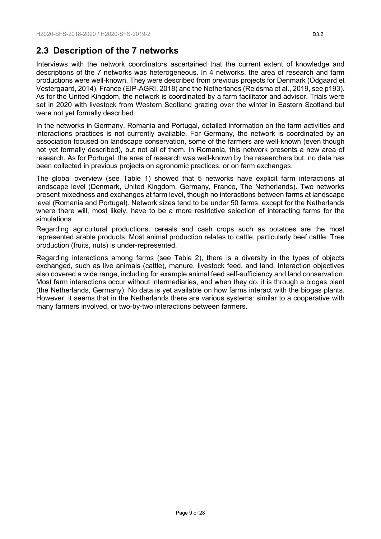# <span id="page-8-0"></span>**2.3 Description of the 7 networks**

Interviews with the network coordinators ascertained that the current extent of knowledge and descriptions of the 7 networks was heterogeneous. In 4 networks, the area of research and farm productions were well-known. They were described from previous projects for Denmark [\(Odgaard et](#page-27-2)  [Vestergaard, 2014\)](#page-27-2), France [\(EIP-AGRI, 2018\)](#page-26-12) and the Netherlands [\(Reidsma et al., 2019,](#page-27-3) see p193). As for the United Kingdom, the network is coordinated by a farm facilitator and advisor. Trials were set in 2020 with livestock from Western Scotland grazing over the winter in Eastern Scotland but were not yet formally described.

In the networks in Germany, Romania and Portugal, detailed information on the farm activities and interactions practices is not currently available. For Germany, the network is coordinated by an association focused on landscape conservation, some of the farmers are well-known (even though not yet formally described), but not all of them. In Romania, this network presents a new area of research. As for Portugal, the area of research was well-known by the researchers but, no data has been collected in previous projects on agronomic practices, or on farm exchanges.

The global overview (see Table 1) showed that 5 networks have explicit farm interactions at landscape level (Denmark, United Kingdom, Germany, France, The Netherlands). Two networks present mixedness and exchanges at farm level, though no interactions between farms at landscape level (Romania and Portugal). Network sizes tend to be under 50 farms, except for the Netherlands where there will, most likely, have to be a more restrictive selection of interacting farms for the simulations.

Regarding agricultural productions, cereals and cash crops such as potatoes are the most represented arable products. Most animal production relates to cattle, particularly beef cattle. Tree production (fruits, nuts) is under-represented.

Regarding interactions among farms (see Table 2), there is a diversity in the types of objects exchanged, such as live animals (cattle), manure, livestock feed, and land. Interaction objectives also covered a wide range, including for example animal feed self-sufficiency and land conservation. Most farm interactions occur without intermediaries, and when they do, it is through a biogas plant (the Netherlands, Germany). No data is yet available on how farms interact with the biogas plants. However, it seems that in the Netherlands there are various systems: similar to a cooperative with many farmers involved, or two-by-two interactions between farmers.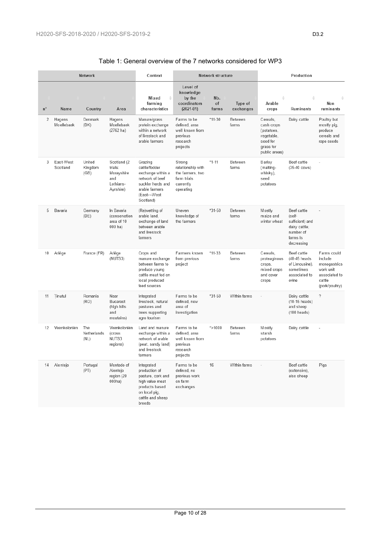<span id="page-9-0"></span>

| <b>Network</b> |                       |                            | Context                                                               | Network structure                                                                                                                    |                                                                                          |                    | Production           |                                                                                              |                                                                                                  |                                                                                                  |
|----------------|-----------------------|----------------------------|-----------------------------------------------------------------------|--------------------------------------------------------------------------------------------------------------------------------------|------------------------------------------------------------------------------------------|--------------------|----------------------|----------------------------------------------------------------------------------------------|--------------------------------------------------------------------------------------------------|--------------------------------------------------------------------------------------------------|
| $n^{\circ}$    | Name                  | Country                    | Area                                                                  | Mixed<br>÷<br>farming<br>characteristics                                                                                             | Level of<br>knowledge<br>by the<br>coordinators<br>$(2021 - 01)$                         | Nb.<br>of<br>farms | Type of<br>exchanges | ÷<br>Arable<br>crops                                                                         | Ruminants                                                                                        | Non<br>ruminants                                                                                 |
| 2              | Hagens<br>Moellebaek  | Denmark<br>(DK)            | Hagens<br>Moellebaek<br>$(2762)$ ha)                                  | Manure/grass<br>protein exchange<br>within a network<br>of livestock and<br>arable farmers                                           | Farms to be<br>defined, area<br>well known from<br>previous<br>research<br>projects      | $*11-30$           | Between<br>farms     | Cereals.<br>cash crops<br>(potatoes,<br>vegetable,<br>seed for<br>grass for<br>public areas) | Dairy cattle                                                                                     | Poultry but<br>mostly pig,<br>produce<br>cereals and<br>rape seeds                               |
| 3              | East-West<br>Scotland | United<br>Kingdom<br>(GB)  | Scotland (2<br>trials:<br>Morayshire<br>and<br>Lothians-<br>Ayrshire) | Grazing<br>cattle/fodder<br>exchange within a<br>network of beef<br>suckler herds and<br>arable farmers<br>(East↔West<br>Scotland)   | Strong<br>relationship with<br>the farmers, two<br>farm trials<br>currently<br>operating | $*1 - 11$          | Between<br>farms     | Barley<br>(malting-<br>whisky),<br>seed<br>potatoes                                          | Beef cattle<br>$(35-40 \text{ cows})$                                                            |                                                                                                  |
| 5              | Bavaria               | Germany<br>(DE)            | In Bavaria<br>(conservation<br>area of 10<br>000 ha)                  | (Re)wetting of<br>arable land,<br>exchange of land<br>between arable<br>and livestock<br>farmers                                     | Uneven<br>knowledge of<br>the farmers                                                    | $*31 - 50$         | Between<br>farms     | Mostly<br>maize and<br>winter wheat                                                          | Beef cattle<br>(self-<br>sufficient) and<br>dairy cattle;<br>number of<br>farms is<br>decreasing |                                                                                                  |
| 10             | Ariège                | France (FR)                | Ariège<br>(NUTS3)                                                     | Crops and<br>manure exchange<br>between farms to<br>produce young<br>cattle meat fed on<br>local produced<br>feed sources            | Farmers known<br>from previous<br>project                                                | $*11-33$           | Between<br>farms     | Cereals,<br>proteaginous<br>crops,<br>mixed crops<br>and cover<br>crops                      | Beef cattle<br>(40-45 heads<br>of Limousine),<br>sometimes<br>associated to<br>ovine             | Farms could<br>include<br>monogastrics<br>work unit<br>associated to<br>cattle<br>(pork/poultry) |
| 11             | Tinutul               | Romania<br>(RO)            | Near<br>Bucarest<br>(high hills<br>and<br>moutains)                   | Integrated<br>livestock, natural<br>pastures and<br>trees supporting<br>agro tourism                                                 | Farms to be<br>defined, new<br>area of<br>investigation                                  | $*31 - 50$         | Within farms         |                                                                                              | Dairy cattle<br>(10-15 heads)<br>and sheep<br>(100 heads)                                        | $\gamma$                                                                                         |
| 12             | Veenkoloniën          | The<br>Netherlands<br>(NL) | Veenkoloniën<br>(cross<br>NUTS3<br>regions)                           | Land and manure<br>exchange within a<br>network of arable<br>(peat, sandy land)<br>and livestock<br>farmers                          | Farms to be<br>defined, area<br>well known from<br>previous<br>research<br>projects      | $*$ >1000          | Between<br>farms     | Mostly<br>starsh<br>potatoes                                                                 | Dairy cattle                                                                                     |                                                                                                  |
| 14             | Alentejo              | Portugal<br>(PT)           | Montado of<br>Alentejo<br>region (20<br>000ha)                        | Integrated<br>production of<br>pasture, cork and<br>high value meat<br>products based<br>on local pig.<br>cattle and sheep<br>hroode | Farms to be<br>defined, no<br>previous work<br>on farm<br>exchanges                      | 16                 | Within farms         |                                                                                              | Beef cattle<br>(extensive),<br>also sheep                                                        | Pigs                                                                                             |

### Table 1: General overview of the 7 networks considered for WP3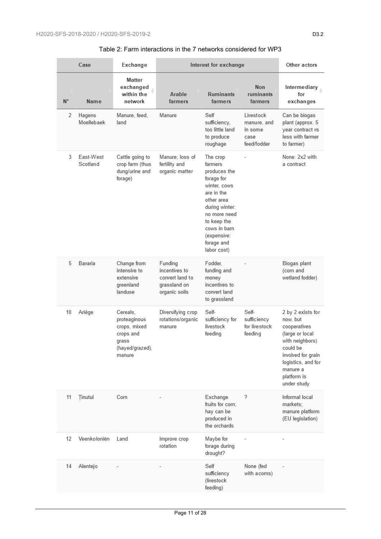<span id="page-10-0"></span>

| Case        |                       | Exchange                                                                                    | Interest for exchange                                                        | Other actors                                                                                                                                                                                               |                                                            |                                                                                                                                                                                       |
|-------------|-----------------------|---------------------------------------------------------------------------------------------|------------------------------------------------------------------------------|------------------------------------------------------------------------------------------------------------------------------------------------------------------------------------------------------------|------------------------------------------------------------|---------------------------------------------------------------------------------------------------------------------------------------------------------------------------------------|
| $N^{\circ}$ | Name                  | Matter<br>exchanged<br>within the<br>network                                                | Arable<br>farmers                                                            | <b>Ruminants</b><br>farmers                                                                                                                                                                                | <b>Non</b><br>ruminants<br>farmers                         | Intermediary<br>for<br>exchanges                                                                                                                                                      |
| 2           | Hagens<br>Moellebaek  | Manure, feed,<br>land                                                                       | Manure                                                                       | Self<br>sufficiency,<br>too little land<br>to produce<br>roughage                                                                                                                                          | Livestock<br>manure, and<br>in some<br>case<br>feed/fodder | Can be biogas<br>plant (approx. 5<br>year contract vs<br>less with farmer<br>to farmer)                                                                                               |
| 3           | East-West<br>Scotland | Cattle going to<br>crop farm (thus<br>dung/urine and<br>forage)                             | Manure; loss of<br>fertility and<br>organic matter                           | The crop<br>farmers<br>produces the<br>forage for<br>winter, cows<br>are in the<br>other area<br>during winter:<br>no more need<br>to keep the<br>cows in barn<br>(expensive:<br>forage and<br>labor cost) |                                                            | None: 2x2 with<br>a contract                                                                                                                                                          |
| 5           | Bavaria               | Change from<br>intensive to<br>extensive<br>greenland<br>landuse                            | Funding<br>incentives to<br>convert land to<br>grassland on<br>organic soils | Fodder,<br>funding and<br>money<br>incentives to<br>convert land<br>to grassland                                                                                                                           |                                                            | Biogas plant<br>(corn and<br>wetland fodder)                                                                                                                                          |
| 10          | Ariège                | Cereals,<br>proteaginous<br>crops, mixed<br>crops and<br>grass<br>(hayed/grazed),<br>manure | Diversifying crop<br>rotations/organic<br>manure                             | Self-<br>sufficiency for<br>livestock<br>feeding                                                                                                                                                           | Self-<br>sufficiency<br>for livestock<br>feeding           | 2 by 2 exists for<br>now, but<br>cooperatives<br>(large or local<br>with neighbors)<br>could be<br>involved for grain<br>logistics, and for<br>manure a<br>platform is<br>under study |
| 11          | Tinutul               | Corn                                                                                        |                                                                              | Exchange<br>fruits for corn;<br>hay can be<br>produced in<br>the orchards                                                                                                                                  | ?                                                          | Informal local<br>markets;<br>manure platform<br>(EU legislation)                                                                                                                     |
| 12          | Veenkoloniën          | Land                                                                                        | Improve crop<br>rotation                                                     | Maybe for<br>forage during<br>drought?                                                                                                                                                                     |                                                            |                                                                                                                                                                                       |
| 14          | Alentejo              |                                                                                             |                                                                              | Self<br>sufficiency<br>(livestock<br>feeding)                                                                                                                                                              | None (fed<br>with acorns)                                  |                                                                                                                                                                                       |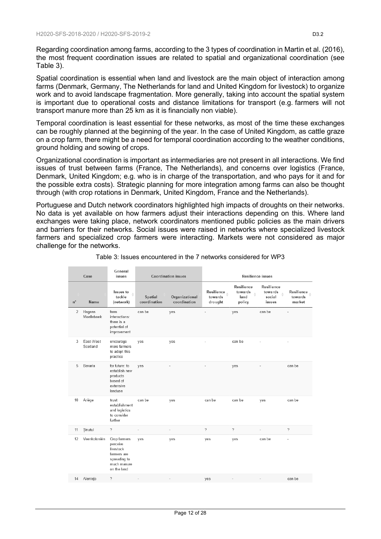Regarding coordination among farms, according to the 3 types of coordination in Martin et al. [\(2016\)](#page-27-0), the most frequent coordination issues are related to spatial and organizational coordination (see Table 3).

Spatial coordination is essential when land and livestock are the main object of interaction among farms (Denmark, Germany, The Netherlands for land and United Kingdom for livestock) to organize work and to avoid landscape fragmentation. More generally, taking into account the spatial system is important due to operational costs and distance limitations for transport (e.g. farmers will not transport manure more than 25 km as it is financially non viable).

Temporal coordination is least essential for these networks, as most of the time these exchanges can be roughly planned at the beginning of the year. In the case of United Kingdom, as cattle graze on a crop farm, there might be a need for temporal coordination according to the weather conditions, ground holding and sowing of crops.

Organizational coordination is important as intermediaries are not present in all interactions. We find issues of trust between farms (France, The Netherlands), and concerns over logistics (France, Denmark, United Kingdom; e.g. who is in charge of the transportation, and who pays for it and for the possible extra costs). Strategic planning for more integration among farms can also be thought through (with crop rotations in Denmark, United Kingdom, France and the Netherlands).

Portuguese and Dutch network coordinators highlighted high impacts of droughts on their networks. No data is yet available on how farmers adjust their interactions depending on this. Where land exchanges were taking place, network coordinators mentioned public policies as the main drivers and barriers for their networks. Social issues were raised in networks where specialized livestock farmers and specialized crop farmers were interacting. Markets were not considered as major challenge for the networks.

<span id="page-11-0"></span>

| Case        |                       | General<br>issues                                                                                  | <b>Coordination issues</b> |                                | Resilience issues                |                                         |                                           |                                 |  |
|-------------|-----------------------|----------------------------------------------------------------------------------------------------|----------------------------|--------------------------------|----------------------------------|-----------------------------------------|-------------------------------------------|---------------------------------|--|
| $n^{\circ}$ | Name                  | <b>Issues</b> to<br>tackle<br>(network)                                                            | Spatial<br>coordination    | Organizational<br>coordination | Resilience<br>towards<br>drought | Resilience<br>towards<br>land<br>policy | Resilience<br>towards<br>social<br>issues | Resilience<br>towards<br>market |  |
| 2           | Hagens<br>Moellebaek  | farm<br>interactions:<br>there is a<br>potential of<br>improvement                                 | can be                     | yes                            |                                  | yes                                     | can be                                    |                                 |  |
| 3           | East-West<br>Scotland | encourage<br>more farmers<br>to adopt this<br>practice                                             | yes                        | yes                            |                                  | can be                                  |                                           |                                 |  |
| 5           | Bavaria               | for future: to<br>establish new<br>products<br>based of<br>extensive<br>landuse                    | yes                        |                                |                                  | yes                                     |                                           | can be                          |  |
| 10          | Ariège                | trust<br>establishment<br>and logistics<br>to consider<br>further                                  | can be                     | yes                            | can be                           | can be                                  | yes                                       | can be                          |  |
| 11          | Tinutul               | $\gamma$                                                                                           | ٠                          | $\overline{\phantom{a}}$       | ?                                | ?                                       | ä,                                        | $\gamma$                        |  |
| 12          | Veenkoloniën          | Crop farmers<br>perceive<br>livestock<br>farmers are<br>spreading to<br>much manure<br>on the land | yes                        | yes                            | yes                              | yes                                     | can be                                    |                                 |  |
| 14          | Alentejo              | $\gamma$                                                                                           |                            |                                | yes                              |                                         |                                           | can be                          |  |

Table 3: Issues encountered in the 7 networks considered for WP3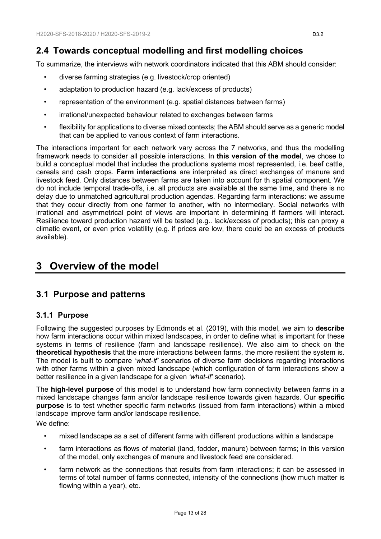# <span id="page-12-0"></span>**2.4 Towards conceptual modelling and first modelling choices**

To summarize, the interviews with network coordinators indicated that this ABM should consider:

- diverse farming strategies (e.g. livestock/crop oriented)
- adaptation to production hazard (e.g. lack/excess of products)
- representation of the environment (e.g. spatial distances between farms)
- irrational/unexpected behaviour related to exchanges between farms
- flexibility for applications to diverse mixed contexts; the ABM should serve as a generic model that can be applied to various context of farm interactions.

The interactions important for each network vary across the 7 networks, and thus the modelling framework needs to consider all possible interactions. In **this version of the model**, we chose to build a conceptual model that includes the productions systems most represented, i.e. beef cattle, cereals and cash crops. **Farm interactions** are interpreted as direct exchanges of manure and livestock feed. Only distances between farms are taken into account for th spatial component. We do not include temporal trade-offs, i.e. all products are available at the same time, and there is no delay due to unmatched agricultural production agendas. Regarding farm interactions: we assume that they occur directly from one farmer to another, with no intermediary. Social networks with irrational and asymmetrical point of views are important in determining if farmers will interact. Resilience toward production hazard will be tested (e.g.. lack/excess of products); this can proxy a climatic event, or even price volatility (e.g. if prices are low, there could be an excess of products available).

# <span id="page-12-1"></span>**3 Overview of the model**

# <span id="page-12-2"></span>**3.1 Purpose and patterns**

### <span id="page-12-3"></span>**3.1.1 Purpose**

Following the suggested purposes by Edmonds et al. [\(2019\)](#page-26-11), with this model, we aim to **describe** how farm interactions occur within mixed landscapes, in order to define what is important for these systems in terms of resilience (farm and landscape resilience). We also aim to check on the **theoretical hypothesis** that the more interactions between farms, the more resilient the system is. The model is built to compare *'what-if'* scenarios of diverse farm decisions regarding interactions with other farms within a given mixed landscape (which configuration of farm interactions show a better resilience in a given landscape for a given *'what-if'* scenario).

The **high-level purpose** of this model is to understand how farm connectivity between farms in a mixed landscape changes farm and/or landscape resilience towards given hazards. Our **specific purpose** is to test whether specific farm networks (issued from farm interactions) within a mixed landscape improve farm and/or landscape resilience.

We define:

- mixed landscape as a set of different farms with different productions within a landscape
- farm interactions as flows of material (land, fodder, manure) between farms; in this version of the model, only exchanges of manure and livestock feed are considered.
- farm network as the connections that results from farm interactions; it can be assessed in terms of total number of farms connected, intensity of the connections (how much matter is flowing within a year), etc.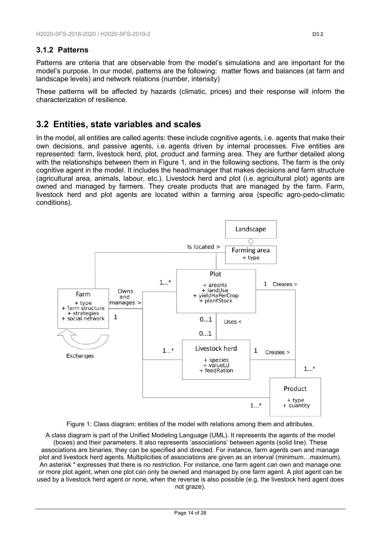### <span id="page-13-0"></span>**3.1.2 Patterns**

Patterns are criteria that are observable from the model's simulations and are important for the model's purpose. In our model, patterns are the following: matter flows and balances (at farm and landscape levels) and network relations (number, intensity)

These patterns will be affected by hazards (climatic, prices) and their response will inform the characterization of resilience.

## <span id="page-13-1"></span>**3.2 Entities, state variables and scales**

In the model, all entities are called agents: these include cognitive agents, i.e. agents that make their own decisions, and passive agents, i.e. agents driven by internal processes. Five entities are represented: farm, livestock herd, plot, product and farming area. They are further detailed along with the relationships between them in Figure 1, and in the following sections. The farm is the only cognitive agent in the model. It includes the head/manager that makes decisions and farm structure (agricultural area, animals, labour, etc.). Livestock herd and plot (i.e. agricultural plot) agents are owned and managed by farmers. They create products that are managed by the farm. Farm, livestock herd and plot agents are located within a farming area (specific agro-pedo-climatic conditions).



Figure 1: Class diagram: entities of the model with relations among them and attributes.

<span id="page-13-2"></span>A class diagram is part of the Unified Modeling Language (UML). It represents the agents of the model (boxes) and their parameters. It also represents 'associations' between agents (solid line). These associations are binaries, they can be specified and directed. For instance, farm agents own and manage plot and livestock herd agents. Multiplicities of associations are given as an interval (minimum…maximum). An asterisk \* expresses that there is no restriction. For instance, one farm agent can own and manage one or more plot agent, when one plot can only be owned and managed by one farm agent. A plot agent can be used by a livestock herd agent or none, when the reverse is also possible (e.g. the livestock herd agent does not graze).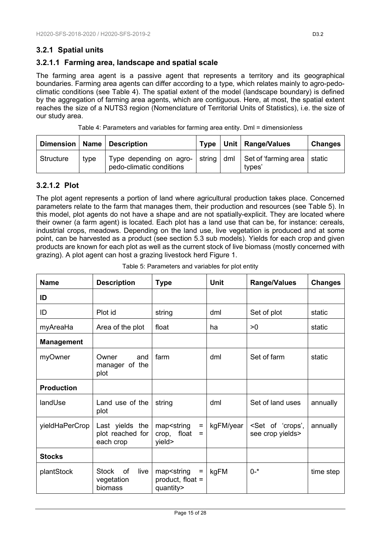## <span id="page-14-0"></span>**3.2.1 Spatial units**

### **3.2.1.1 Farming area, landscape and spatial scale**

The farming area agent is a passive agent that represents a territory and its geographical boundaries. Farming area agents can differ according to a type, which relates mainly to agro-pedoclimatic conditions (see Table 4). The spatial extent of the model (landscape boundary) is defined by the aggregation of farming area agents, which are contiguous. Here, at most, the spatial extent reaches the size of a NUTS3 region (Nomenclature of Territorial Units of Statistics), i.e. the size of our study area.

| Table 4: Parameters and variables for farming area entity. Dml = dimensionless |  |  |  |
|--------------------------------------------------------------------------------|--|--|--|
|                                                                                |  |  |  |

<span id="page-14-1"></span>

|           |      | Dimension   Name   Description                      |  | Type   Unit   Range/Values                                         | <b>Changes</b> |
|-----------|------|-----------------------------------------------------|--|--------------------------------------------------------------------|----------------|
| Structure | type | Type depending on agro-<br>pedo-climatic conditions |  | string   dml   Set of 'farming area   static<br>types <sup>'</sup> |                |

### **3.2.1.2 Plot**

The plot agent represents a portion of land where agricultural production takes place. Concerned parameters relate to the farm that manages them, their production and resources (see Table 5). In this model, plot agents do not have a shape and are not spatially-explicit. They are located where their owner (a farm agent) is located. Each plot has a land use that can be, for instance: cereals, industrial crops, meadows. Depending on the land use, live vegetation is produced and at some point, can be harvested as a product (see section 5.3 sub models). Yields for each crop and given products are known for each plot as well as the current stock of live biomass (mostly concerned with grazing). A plot agent can host a grazing livestock herd Figure 1.

<span id="page-14-2"></span>

| <b>Name</b>       | <b>Description</b>                                  | <b>Type</b>                                                                                                                | <b>Unit</b> | <b>Range/Values</b>                                 | <b>Changes</b> |
|-------------------|-----------------------------------------------------|----------------------------------------------------------------------------------------------------------------------------|-------------|-----------------------------------------------------|----------------|
| ID                |                                                     |                                                                                                                            |             |                                                     |                |
| ID                | Plot id                                             | string                                                                                                                     | dml         | Set of plot                                         | static         |
| myAreaHa          | Area of the plot                                    | float                                                                                                                      | ha          | >0                                                  | static         |
| <b>Management</b> |                                                     |                                                                                                                            |             |                                                     |                |
| myOwner           | Owner<br>and<br>manager of the<br>plot              | farm                                                                                                                       | dml         | Set of farm                                         | static         |
| <b>Production</b> |                                                     |                                                                                                                            |             |                                                     |                |
| landUse           | Land use of the<br>plot                             | string                                                                                                                     | dml         | Set of land uses                                    | annually       |
| yieldHaPerCrop    | Last yields the<br>plot reached for<br>each crop    | map <string<br><math display="inline">\equiv</math><br/>crop, float<br/><math>=</math><br/>yield&gt;</string<br>           | kgFM/year   | <set 'crops',<br="" of="">see crop yields&gt;</set> | annually       |
| <b>Stocks</b>     |                                                     |                                                                                                                            |             |                                                     |                |
| plantStock        | <b>Stock</b><br>live<br>of<br>vegetation<br>biomass | map <string<br><math display="block">\qquad \qquad =</math><br/>product, float <math>=</math><br/>quantity&gt;</string<br> | kgFM        | $0 - *$                                             | time step      |

Table 5: Parameters and variables for plot entity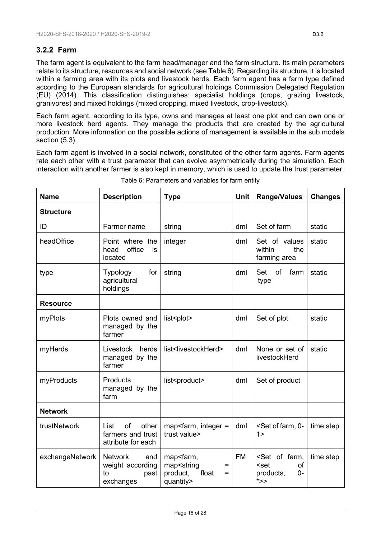## <span id="page-15-0"></span>**3.2.2 Farm**

The farm agent is equivalent to the farm head/manager and the farm structure. Its main parameters relate to its structure, resources and social network (see Table 6). Regarding its structure, it is located within a farming area with its plots and livestock herds. Each farm agent has a farm type defined according to the European standards for agricultural holdings Commission Delegated Regulation (EU) [\(2014\)](#page-26-13). This classification distinguishes: specialist holdings (crops, grazing livestock, granivores) and mixed holdings (mixed cropping, mixed livestock, crop-livestock).

Each farm agent, according to its type, owns and manages at least one plot and can own one or more livestock herd agents. They manage the products that are created by the agricultural production. More information on the possible actions of management is available in the sub models section (5.3).

Each farm agent is involved in a social network, constituted of the other farm agents. Farm agents rate each other with a trust parameter that can evolve asymmetrically during the simulation. Each interaction with another farmer is also kept in memory, which is used to update the trust parameter.

<span id="page-15-1"></span>

| <b>Name</b>      | <b>Description</b>                                                   | <b>Type</b>                                                                                        | <b>Unit</b> | <b>Range/Values</b>                                                                              | <b>Changes</b> |
|------------------|----------------------------------------------------------------------|----------------------------------------------------------------------------------------------------|-------------|--------------------------------------------------------------------------------------------------|----------------|
| <b>Structure</b> |                                                                      |                                                                                                    |             |                                                                                                  |                |
| ID               | Farmer name                                                          | string                                                                                             | dml         | Set of farm                                                                                      | static         |
| headOffice       | Point where the<br>office<br>head<br>is<br>located                   | integer                                                                                            | dml         | Set of values<br>within<br>the<br>farming area                                                   | static         |
| type             | for<br><b>Typology</b><br>agricultural<br>holdings                   | string                                                                                             | dml         | Set<br>of<br>farm<br>'type'                                                                      | static         |
| <b>Resource</b>  |                                                                      |                                                                                                    |             |                                                                                                  |                |
| myPlots          | Plots owned and<br>managed by the<br>farmer                          | list <plot></plot>                                                                                 | dml         | Set of plot                                                                                      | static         |
| myHerds          | Livestock<br>herds<br>managed by the<br>farmer                       | list <livestockherd></livestockherd>                                                               | dml         | None or set of<br>livestockHerd                                                                  | static         |
| myProducts       | Products<br>managed by the<br>farm                                   | list <product></product>                                                                           | dml         | Set of product                                                                                   |                |
| <b>Network</b>   |                                                                      |                                                                                                    |             |                                                                                                  |                |
| trustNetwork     | of<br>other<br>List<br>farmers and trust<br>attribute for each       | map <farm, <math="" integer="">=<br/>trust value&gt;</farm,>                                       | dml         | <set 0-<br="" farm,="" of=""><math>1\geq</math></set>                                            | time step      |
| exchangeNetwork  | <b>Network</b><br>and<br>weight according<br>to<br>past<br>exchanges | map <farm,<br>map<string<br>Ξ<br/>product,<br/>float<br/>Ξ<br/>quantity&gt;</string<br></farm,<br> | <b>FM</b>   | <set farm,<br="" of="">of<br/><set<br>products,<br/><math>0-</math><br/>*&gt;&gt;</set<br></set> | time step      |

Table 6: Parameters and variables for farm entity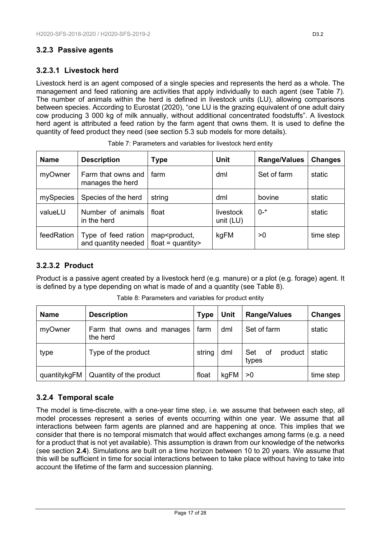## <span id="page-16-0"></span>**3.2.3 Passive agents**

## **3.2.3.1 Livestock herd**

Livestock herd is an agent composed of a single species and represents the herd as a whole. The management and feed rationing are activities that apply individually to each agent (see Table 7). The number of animals within the herd is defined in livestock units (LU), allowing comparisons between species. According to Eurostat [\(2020\)](#page-26-0), "one LU is the grazing equivalent of one adult dairy cow producing 3 000 kg of milk annually, without additional concentrated foodstuffs". A livestock herd agent is attributed a feed ration by the farm agent that owns them. It is used to define the quantity of feed product they need (see section 5.3 sub models for more details).

<span id="page-16-2"></span>

| <b>Name</b> | <b>Description</b>                         | Type                                                         | <b>Unit</b>            | <b>Range/Values</b> | <b>Changes</b> |
|-------------|--------------------------------------------|--------------------------------------------------------------|------------------------|---------------------|----------------|
| myOwner     | Farm that owns and<br>manages the herd     | farm                                                         | dml                    | Set of farm         | static         |
| mySpecies   | Species of the herd                        | string                                                       | dml                    | bovine              | static         |
| valueLU     | Number of animals<br>in the herd           | float                                                        | livestock<br>unit (LU) | $0 - *$             | static         |
| feedRation  | Type of feed ration<br>and quantity needed | map <product,<br><math>float = quantity</math></product,<br> | kgFM                   | >0                  | time step      |

## **3.2.3.2 Product**

Product is a passive agent created by a livestock herd (e.g. manure) or a plot (e.g. forage) agent. It is defined by a type depending on what is made of and a quantity (see Table 8).

<span id="page-16-3"></span>

| <b>Name</b>  | <b>Description</b>                     | <b>Type</b> | <b>Unit</b> | <b>Range/Values</b>           | <b>Changes</b> |
|--------------|----------------------------------------|-------------|-------------|-------------------------------|----------------|
| myOwner      | Farm that owns and manages<br>the herd | farm        | dml         | Set of farm                   | static         |
| type         | Type of the product                    | string      | dml         | Set<br>of<br>product<br>types | static         |
| quantitykgFM | Quantity of the product                | float       | kgFM        | >0                            | time step      |

Table 8: Parameters and variables for product entity

## <span id="page-16-1"></span>**3.2.4 Temporal scale**

The model is time-discrete, with a one-year time step, i.e. we assume that between each step, all model processes represent a series of events occurring within one year. We assume that all interactions between farm agents are planned and are happening at once. This implies that we consider that there is no temporal mismatch that would affect exchanges among farms (e.g. a need for a product that is not yet available). This assumption is drawn from our knowledge of the networks (see section **2.4**). Simulations are built on a time horizon between 10 to 20 years. We assume that this will be sufficient in time for social interactions between to take place without having to take into account the lifetime of the farm and succession planning.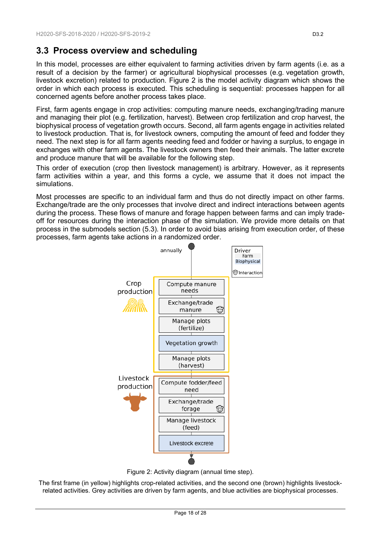# <span id="page-17-0"></span>**3.3 Process overview and scheduling**

In this model, processes are either equivalent to farming activities driven by farm agents (i.e. as a result of a decision by the farmer) or agricultural biophysical processes (e.g. vegetation growth, livestock excretion) related to production. Figure 2 is the model activity diagram which shows the order in which each process is executed. This scheduling is sequential: processes happen for all concerned agents before another process takes place.

First, farm agents engage in crop activities: computing manure needs, exchanging/trading manure and managing their plot (e.g. fertilization, harvest). Between crop fertilization and crop harvest, the biophysical process of vegetation growth occurs. Second, all farm agents engage in activities related to livestock production. That is, for livestock owners, computing the amount of feed and fodder they need. The next step is for all farm agents needing feed and fodder or having a surplus, to engage in exchanges with other farm agents. The livestock owners then feed their animals. The latter excrete and produce manure that will be available for the following step.

This order of execution (crop then livestock management) is arbitrary. However, as it represents farm activities within a year, and this forms a cycle, we assume that it does not impact the simulations.

Most processes are specific to an individual farm and thus do not directly impact on other farms. Exchange/trade are the only processes that involve direct and indirect interactions between agents during the process. These flows of manure and forage happen between farms and can imply tradeoff for resources during the interaction phase of the simulation. We provide more details on that process in the submodels section (5.3). In order to avoid bias arising from execution order, of these processes, farm agents take actions in a randomized order.



Figure 2: Activity diagram (annual time step).

<span id="page-17-1"></span>The first frame (in yellow) highlights crop-related activities, and the second one (brown) highlights livestockrelated activities. Grey activities are driven by farm agents, and blue activities are biophysical processes.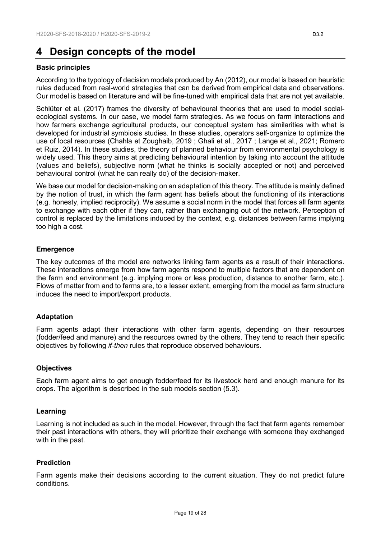# <span id="page-18-0"></span>**4 Design concepts of the model**

#### **Basic principles**

According to the typology of decision models produced by An [\(2012\)](#page-26-14), our model is based on heuristic rules deduced from real-world strategies that can be derived from empirical data and observations. Our model is based on literature and will be fine-tuned with empirical data that are not yet available.

Schlüter et al. [\(2017\)](#page-27-4) frames the diversity of behavioural theories that are used to model socialecological systems. In our case, we model farm strategies. As we focus on farm interactions and how farmers exchange agricultural products, our conceptual system has similarities with what is developed for industrial symbiosis studies. In these studies, operators self-organize to optimize the use of local resources [\(Chahla et Zoughaib, 2019](#page-26-15) ; [Ghali et al., 2017](#page-26-16) ; [Lange et al., 2021;](#page-27-5) [Romero](#page-27-6)  [et Ruiz, 2014\)](#page-27-6). In these studies, the theory of planned behaviour from environmental psychology is widely used. This theory aims at predicting behavioural intention by taking into account the attitude (values and beliefs), subjective norm (what he thinks is socially accepted or not) and perceived behavioural control (what he can really do) of the decision-maker.

We base our model for decision-making on an adaptation of this theory. The attitude is mainly defined by the notion of trust, in which the farm agent has beliefs about the functioning of its interactions (e.g. honesty, implied reciprocity). We assume a social norm in the model that forces all farm agents to exchange with each other if they can, rather than exchanging out of the network. Perception of control is replaced by the limitations induced by the context, e.g. distances between farms implying too high a cost.

#### **Emergence**

The key outcomes of the model are networks linking farm agents as a result of their interactions. These interactions emerge from how farm agents respond to multiple factors that are dependent on the farm and environment (e.g. implying more or less production, distance to another farm, etc.). Flows of matter from and to farms are, to a lesser extent, emerging from the model as farm structure induces the need to import/export products.

#### **Adaptation**

Farm agents adapt their interactions with other farm agents, depending on their resources (fodder/feed and manure) and the resources owned by the others. They tend to reach their specific objectives by following *if-then* rules that reproduce observed behaviours.

#### **Objectives**

Each farm agent aims to get enough fodder/feed for its livestock herd and enough manure for its crops. The algorithm is described in the sub models section (5.3).

#### **Learning**

Learning is not included as such in the model. However, through the fact that farm agents remember their past interactions with others, they will prioritize their exchange with someone they exchanged with in the past.

#### **Prediction**

Farm agents make their decisions according to the current situation. They do not predict future conditions.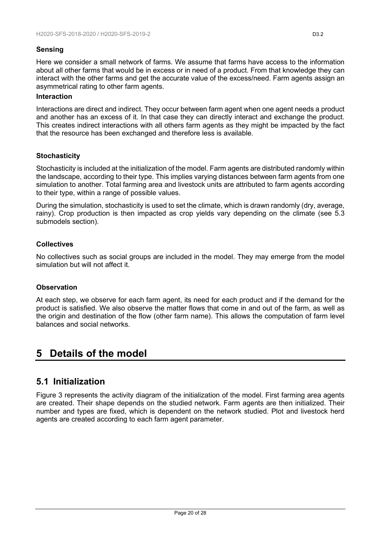#### **Sensing**

Here we consider a small network of farms. We assume that farms have access to the information about all other farms that would be in excess or in need of a product. From that knowledge they can interact with the other farms and get the accurate value of the excess/need. Farm agents assign an asymmetrical rating to other farm agents.

#### **Interaction**

Interactions are direct and indirect. They occur between farm agent when one agent needs a product and another has an excess of it. In that case they can directly interact and exchange the product. This creates indirect interactions with all others farm agents as they might be impacted by the fact that the resource has been exchanged and therefore less is available.

### **Stochasticity**

Stochasticity is included at the initialization of the model. Farm agents are distributed randomly within the landscape, according to their type. This implies varying distances between farm agents from one simulation to another. Total farming area and livestock units are attributed to farm agents according to their type, within a range of possible values.

During the simulation, stochasticity is used to set the climate, which is drawn randomly (dry, average, rainy). Crop production is then impacted as crop yields vary depending on the climate (see 5.3 submodels section).

#### **Collectives**

No collectives such as social groups are included in the model. They may emerge from the model simulation but will not affect it.

#### **Observation**

At each step, we observe for each farm agent, its need for each product and if the demand for the product is satisfied. We also observe the matter flows that come in and out of the farm, as well as the origin and destination of the flow (other farm name). This allows the computation of farm level balances and social networks.

# <span id="page-19-0"></span>**5 Details of the model**

# <span id="page-19-1"></span>**5.1 Initialization**

Figure 3 represents the activity diagram of the initialization of the model. First farming area agents are created. Their shape depends on the studied network. Farm agents are then initialized. Their number and types are fixed, which is dependent on the network studied. Plot and livestock herd agents are created according to each farm agent parameter.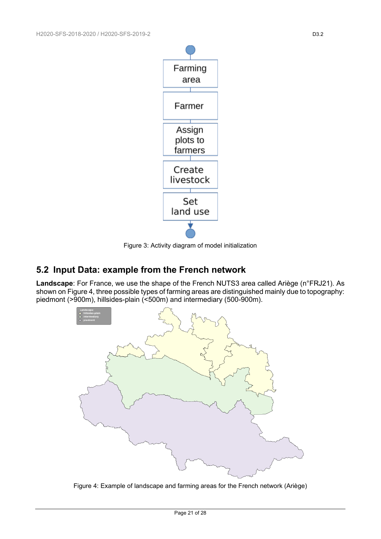

Figure 3: Activity diagram of model initialization

# <span id="page-20-1"></span><span id="page-20-0"></span>**5.2 Input Data: example from the French network**

**Landscape**: For France, we use the shape of the French NUTS3 area called Ariège (n°FRJ21). As shown on Figure 4, three possible types of farming areas are distinguished mainly due to topography: piedmont (>900m), hillsides-plain (<500m) and intermediary (500-900m).



<span id="page-20-2"></span>Figure 4: Example of landscape and farming areas for the French network (Ariège)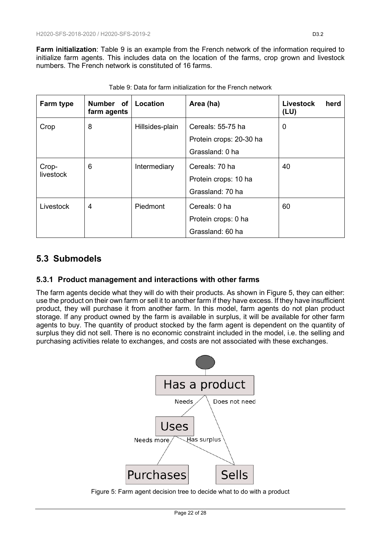**Farm initialization**: Table 9 is an example from the French network of the information required to initialize farm agents. This includes data on the location of the farms, crop grown and livestock numbers. The French network is constituted of 16 farms.

<span id="page-21-3"></span>

| Farm type | Number of<br>farm agents | Location        | Area (ha)               | <b>Livestock</b><br>herd<br>(LU) |
|-----------|--------------------------|-----------------|-------------------------|----------------------------------|
| Crop      | 8                        | Hillsides-plain | Cereals: 55-75 ha       | $\mathbf 0$                      |
|           |                          |                 | Protein crops: 20-30 ha |                                  |
|           |                          |                 | Grassland: 0 ha         |                                  |
| Crop-     | 6                        | Intermediary    | Cereals: 70 ha          | 40                               |
| livestock |                          |                 | Protein crops: 10 ha    |                                  |
|           |                          |                 | Grassland: 70 ha        |                                  |
| Livestock | 4                        | Piedmont        | Cereals: 0 ha           | 60                               |
|           |                          |                 | Protein crops: 0 ha     |                                  |
|           |                          |                 | Grassland: 60 ha        |                                  |

Table 9: Data for farm initialization for the French network

# <span id="page-21-0"></span>**5.3 Submodels**

## <span id="page-21-1"></span>**5.3.1 Product management and interactions with other farms**

The farm agents decide what they will do with their products. As shown in Figure 5, they can either: use the product on their own farm or sell it to another farm if they have excess. If they have insufficient product, they will purchase it from another farm. In this model, farm agents do not plan product storage. If any product owned by the farm is available in surplus, it will be available for other farm agents to buy. The quantity of product stocked by the farm agent is dependent on the quantity of surplus they did not sell. There is no economic constraint included in the model, i.e. the selling and purchasing activities relate to exchanges, and costs are not associated with these exchanges.



<span id="page-21-2"></span>Figure 5: Farm agent decision tree to decide what to do with a product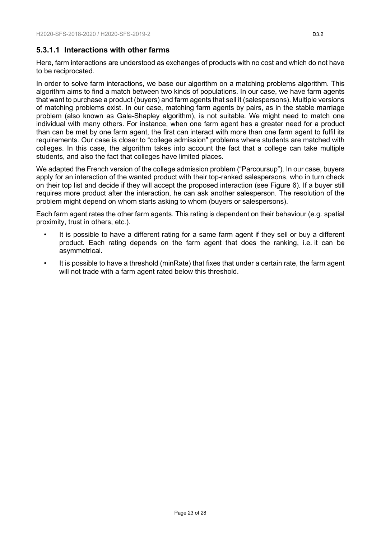### **5.3.1.1 Interactions with other farms**

Here, farm interactions are understood as exchanges of products with no cost and which do not have to be reciprocated.

In order to solve farm interactions, we base our algorithm on a matching problems algorithm. This algorithm aims to find a match between two kinds of populations. In our case, we have farm agents that want to purchase a product (buyers) and farm agents that sell it (salespersons). Multiple versions of matching problems exist. In our case, matching farm agents by pairs, as in the stable marriage problem (also known as Gale-Shapley algorithm), is not suitable. We might need to match one individual with many others. For instance, when one farm agent has a greater need for a product than can be met by one farm agent, the first can interact with more than one farm agent to fulfil its requirements. Our case is closer to "college admission" problems where students are matched with colleges. In this case, the algorithm takes into account the fact that a college can take multiple students, and also the fact that colleges have limited places.

We adapted the French version of the college admission problem ("Parcoursup"). In our case, buyers apply for an interaction of the wanted product with their top-ranked salespersons, who in turn check on their top list and decide if they will accept the proposed interaction (see Figure 6). If a buyer still requires more product after the interaction, he can ask another salesperson. The resolution of the problem might depend on whom starts asking to whom (buyers or salespersons).

Each farm agent rates the other farm agents. This rating is dependent on their behaviour (e.g. spatial proximity, trust in others, etc.).

- It is possible to have a different rating for a same farm agent if they sell or buy a different product. Each rating depends on the farm agent that does the ranking, i.e. it can be asymmetrical.
- It is possible to have a threshold (minRate) that fixes that under a certain rate, the farm agent will not trade with a farm agent rated below this threshold.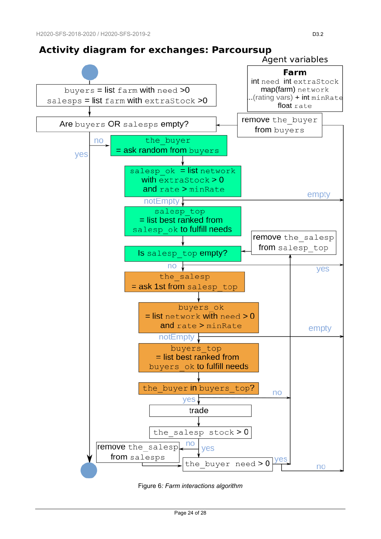# **Activity diagram for exchanges: Parcoursup**



<span id="page-23-0"></span>Figure 6*: Farm interactions algorithm*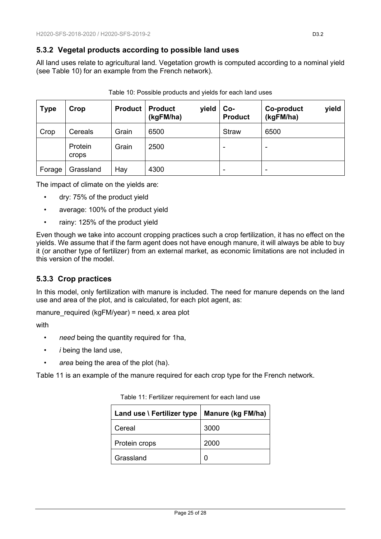### <span id="page-24-0"></span>**5.3.2 Vegetal products according to possible land uses**

All land uses relate to agricultural land. Vegetation growth is computed according to a nominal yield (see Table 10) for an example from the French network).

<span id="page-24-2"></span>

| <b>Type</b> | Crop             | <b>Product</b> | <b>Product</b><br>yield<br>(kgFM/ha) | Co-<br><b>Product</b> | yield<br>Co-product<br>(kgFM/ha) |
|-------------|------------------|----------------|--------------------------------------|-----------------------|----------------------------------|
| Crop        | Cereals          | Grain          | 6500                                 | <b>Straw</b>          | 6500                             |
|             | Protein<br>crops | Grain          | 2500                                 | -                     |                                  |
| Forage      | Grassland        | Hay            | 4300                                 | -                     |                                  |

The impact of climate on the yields are:

- dry: 75% of the product yield
- average: 100% of the product yield
- rainy: 125% of the product yield

Even though we take into account cropping practices such a crop fertilization, it has no effect on the yields. We assume that if the farm agent does not have enough manure, it will always be able to buy it (or another type of fertilizer) from an external market, as economic limitations are not included in this version of the model.

## <span id="page-24-1"></span>**5.3.3 Crop practices**

In this model, only fertilization with manure is included. The need for manure depends on the land use and area of the plot, and is calculated, for each plot agent, as:

manure required (kgFM/year) = need<sub>i</sub> x area plot

with

- *need* being the quantity required for 1ha,
- *i* being the land use,
- *area* being the area of the plot (ha).

<span id="page-24-3"></span>Table 11 is an example of the manure required for each crop type for the French network.

| Land use \ Fertilizer type | Manure (kg FM/ha) |  |  |
|----------------------------|-------------------|--|--|
| Cereal                     | 3000              |  |  |
| Protein crops              | 2000              |  |  |
| Grassland                  | n                 |  |  |

Table 11: Fertilizer requirement for each land use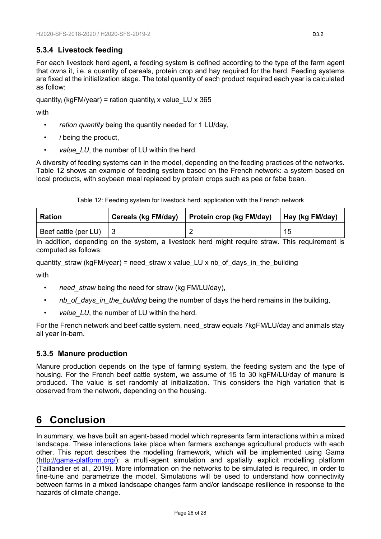## <span id="page-25-0"></span>**5.3.4 Livestock feeding**

For each livestock herd agent, a feeding system is defined according to the type of the farm agent that owns it, i.e. a quantity of cereals, protein crop and hay required for the herd. Feeding systems are fixed at the initialization stage. The total quantity of each product required each year is calculated as follow:

quantity<sub>i</sub> (kgFM/year) = ration quantity<sub>i</sub> x value LU x 365

with

- ration quantity being the quantity needed for 1 LU/day,
- *i* being the product,
- value\_LU, the number of LU within the herd.

A diversity of feeding systems can in the model, depending on the feeding practices of the networks. Table 12 shows an example of feeding system based on the French network: a system based on local products, with soybean meal replaced by protein crops such as pea or faba bean.

Table 12: Feeding system for livestock herd: application with the French network

<span id="page-25-3"></span>

| <b>Ration</b>        | Cereals (kg FM/day) | <b>Protein crop (kg FM/day)</b> | Hay (kg FM/day) |
|----------------------|---------------------|---------------------------------|-----------------|
| Beef cattle (per LU) |                     |                                 | 15              |

In addition, depending on the system, a livestock herd might require straw. This requirement is computed as follows:

quantity straw (kgFM/year) = need straw x value LU x nb of days in the building

with

- need straw being the need for straw (kg FM/LU/day),
- *nb\_of\_days\_in\_the\_building* being the number of days the herd remains in the building,
- value LU, the number of LU within the herd.

For the French network and beef cattle system, need\_straw equals 7kgFM/LU/day and animals stay all year in-barn.

### <span id="page-25-1"></span>**5.3.5 Manure production**

Manure production depends on the type of farming system, the feeding system and the type of housing. For the French beef cattle system, we assume of 15 to 30 kgFM/LU/day of manure is produced. The value is set randomly at initialization. This considers the high variation that is observed from the network, depending on the housing.

# <span id="page-25-2"></span>**6 Conclusion**

In summary, we have built an agent-based model which represents farm interactions within a mixed landscape. These interactions take place when farmers exchange agricultural products with each other. This report describes the modelling framework, which will be implemented using Gama [\(http://gama-platform.org/\)](http://gama-platform.org/): a multi-agent simulation and spatially explicit modelling platform [\(Taillandier et al., 2019\)](#page-27-7). More information on the networks to be simulated is required, in order to fine-tune and parametrize the model. Simulations will be used to understand how connectivity between farms in a mixed landscape changes farm and/or landscape resilience in response to the hazards of climate change.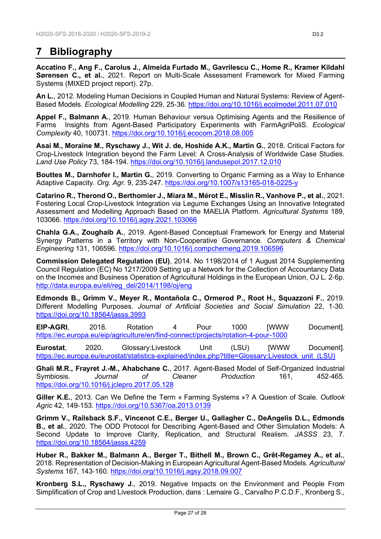# <span id="page-26-2"></span>**7 Bibliography**

<span id="page-26-4"></span>**Accatino F., Ang F., Carolus J., Almeida Furtado M., Gavrilescu C., Home R., Kramer Kildahl Sørensen C., et al.**, 2021. Report on Multi-Scale Assessment Framework for Mixed Farming Systems (MIXED project report). 27p.

<span id="page-26-14"></span>**An L.**, 2012. Modeling Human Decisions in Coupled Human and Natural Systems: Review of Agent-Based Models. *Ecological Modelling* 229, 25‑36.<https://doi.org/10.1016/j.ecolmodel.2011.07.010>

<span id="page-26-8"></span>**Appel F., Balmann A.**, 2019. Human Behaviour versus Optimising Agents and the Resilience of Farms Insights from Agent-Based Participatory Experiments with FarmAgriPoliS. *Ecological Complexity* 40, 100731.<https://doi.org/10.1016/j.ecocom.2018.08.005>

<span id="page-26-6"></span>**Asai M., Moraine M., Ryschawy J., Wit J. de, Hoshide A.K., Martin G.**, 2018. Critical Factors for Crop-Livestock Integration beyond the Farm Level: A Cross-Analysis of Worldwide Case Studies. *Land Use Policy* 73, 184‑194.<https://doi.org/10.1016/j.landusepol.2017.12.010>

<span id="page-26-7"></span>**Bouttes M., Darnhofer I., Martin G.**, 2019. Converting to Organic Farming as a Way to Enhance Adaptive Capacity. *Org. Agr.* 9, 235‑247.<https://doi.org/10.1007/s13165-018-0225-y>

<span id="page-26-9"></span>**Catarino R., Therond O., Berthomier J., Miara M., Mérot E., Misslin R., Vanhove P., et al.**, 2021. Fostering Local Crop-Livestock Integration via Legume Exchanges Using an Innovative Integrated Assessment and Modelling Approach Based on the MAELIA Platform. *Agricultural Systems* 189, 103066.<https://doi.org/10.1016/j.agsy.2021.103066>

<span id="page-26-15"></span>**Chahla G.A., Zoughaib A.**, 2019. Agent-Based Conceptual Framework for Energy and Material Synergy Patterns in a Territory with Non-Cooperative Governance. *Computers & Chemical Engineering* 131, 106596.<https://doi.org/10.1016/j.compchemeng.2019.106596>

<span id="page-26-13"></span>**Commission Delegated Regulation (EU)**, 2014. No 1198/2014 of 1 August 2014 Supplementing Council Regulation (EC) No 1217/2009 Setting up a Network for the Collection of Accountancy Data on the Incomes and Business Operation of Agricultural Holdings in the European Union, OJ L. 2‑6p. [http://data.europa.eu/eli/reg\\_del/2014/1198/oj/eng](http://data.europa.eu/eli/reg_del/2014/1198/oj/eng)

<span id="page-26-11"></span>**Edmonds B., Grimm V., Meyer R., Montañola C., Ormerod P., Root H., Squazzoni F.**, 2019. Different Modelling Purposes. *Journal of Artificial Societies and Social Simulation* 22, 1‑30. <https://doi.org/10.18564/jasss.3993>

<span id="page-26-12"></span>**EIP-AGRI**, 2018. Rotation 4 Pour 1000 [WWW Document]. <https://ec.europa.eu/eip/agriculture/en/find-connect/projects/rotation-4-pour-1000>

<span id="page-26-0"></span>**Eurostat**, 2020. Glossary:Livestock Unit (LSU) [WWW Document]. [https://ec.europa.eu/eurostat/statistics-explained/index.php?title=Glossary:Livestock\\_unit\\_\(LSU\)](https://ec.europa.eu/eurostat/statistics-explained/index.php?title=Glossary:Livestock_unit_(LSU))

<span id="page-26-16"></span>**Ghali M.R., Frayret J.-M., Ahabchane C.**, 2017. Agent-Based Model of Self-Organized Industrial Symbiosis. *Journal of Cleaner Production* 161, 452‑465. <https://doi.org/10.1016/j.jclepro.2017.05.128>

<span id="page-26-5"></span>**Giller K.E.**, 2013. Can We Define the Term « Farming Systems »? A Question of Scale. *Outlook Agric* 42, 149‑153.<https://doi.org/10.5367/oa.2013.0139>

<span id="page-26-1"></span>**Grimm V., Railsback S.F., Vincenot C.E., Berger U., Gallagher C., DeAngelis D.L., Edmonds B., et al.**, 2020. The ODD Protocol for Describing Agent-Based and Other Simulation Models: A Second Update to Improve Clarity, Replication, and Structural Realism. *JASSS* 23, 7. <https://doi.org/10.18564/jasss.4259>

<span id="page-26-10"></span>**Huber R., Bakker M., Balmann A., Berger T., Bithell M., Brown C., Grêt-Regamey A., et al.**, 2018. Representation of Decision-Making in European Agricultural Agent-Based Models. *Agricultural Systems* 167, 143‑160.<https://doi.org/10.1016/j.agsy.2018.09.007>

<span id="page-26-3"></span>**Kronberg S.L., Ryschawy J.**, 2019. Negative Impacts on the Environment and People From Simplification of Crop and Livestock Production, dans : Lemaire G., Carvalho P.C.D.F., Kronberg S.,